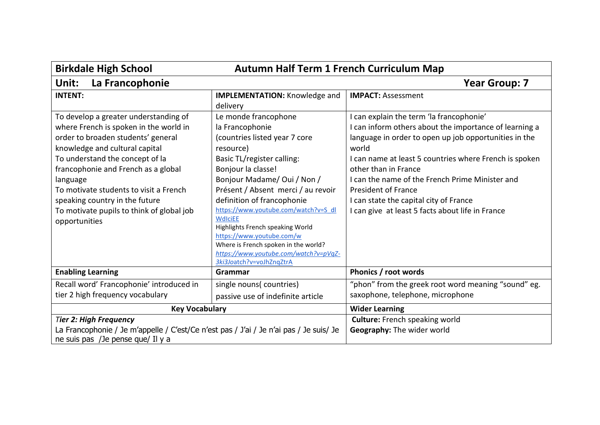| <b>Birkdale High School</b><br><b>Autumn Half Term 1 French Curriculum Map</b>                                                                                                                                                                                                                                                                                                          |                                                                                                                                                                                                                                                                                                                                                                                                                                                                                      |                                                                                                                                                                                                                                                                                                                                                                                                                                       |
|-----------------------------------------------------------------------------------------------------------------------------------------------------------------------------------------------------------------------------------------------------------------------------------------------------------------------------------------------------------------------------------------|--------------------------------------------------------------------------------------------------------------------------------------------------------------------------------------------------------------------------------------------------------------------------------------------------------------------------------------------------------------------------------------------------------------------------------------------------------------------------------------|---------------------------------------------------------------------------------------------------------------------------------------------------------------------------------------------------------------------------------------------------------------------------------------------------------------------------------------------------------------------------------------------------------------------------------------|
| La Francophonie<br>Unit:                                                                                                                                                                                                                                                                                                                                                                |                                                                                                                                                                                                                                                                                                                                                                                                                                                                                      | <b>Year Group: 7</b>                                                                                                                                                                                                                                                                                                                                                                                                                  |
| <b>INTENT:</b>                                                                                                                                                                                                                                                                                                                                                                          | <b>IMPLEMENTATION:</b> Knowledge and<br>delivery                                                                                                                                                                                                                                                                                                                                                                                                                                     | <b>IMPACT: Assessment</b>                                                                                                                                                                                                                                                                                                                                                                                                             |
| To develop a greater understanding of<br>where French is spoken in the world in<br>order to broaden students' general<br>knowledge and cultural capital<br>To understand the concept of la<br>francophonie and French as a global<br>language<br>To motivate students to visit a French<br>speaking country in the future<br>To motivate pupils to think of global job<br>opportunities | Le monde francophone<br>la Francophonie<br>(countries listed year 7 core<br>resource)<br>Basic TL/register calling:<br>Bonjour la classe!<br>Bonjour Madame/ Oui / Non /<br>Présent / Absent merci / au revoir<br>definition of francophonie<br>https://www.youtube.com/watch?v=S_dl<br><b>WdlciEE</b><br>Highlights French speaking World<br>https://www.youtube.com/w<br>Where is French spoken in the world?<br>https://www.youtube.com/watch?v=pVqZ-<br>3ki3Joatch?v=voJhZnqZtrA | I can explain the term 'la francophonie'<br>I can inform others about the importance of learning a<br>language in order to open up job opportunities in the<br>world<br>I can name at least 5 countries where French is spoken<br>other than in France<br>I can the name of the French Prime Minister and<br><b>President of France</b><br>I can state the capital city of France<br>I can give at least 5 facts about life in France |
| <b>Enabling Learning</b>                                                                                                                                                                                                                                                                                                                                                                | Grammar                                                                                                                                                                                                                                                                                                                                                                                                                                                                              | Phonics / root words                                                                                                                                                                                                                                                                                                                                                                                                                  |
| Recall word' Francophonie' introduced in<br>tier 2 high frequency vocabulary                                                                                                                                                                                                                                                                                                            | single nouns(countries)<br>passive use of indefinite article                                                                                                                                                                                                                                                                                                                                                                                                                         | "phon" from the greek root word meaning "sound" eg.<br>saxophone, telephone, microphone                                                                                                                                                                                                                                                                                                                                               |
| <b>Key Vocabulary</b>                                                                                                                                                                                                                                                                                                                                                                   |                                                                                                                                                                                                                                                                                                                                                                                                                                                                                      | <b>Wider Learning</b>                                                                                                                                                                                                                                                                                                                                                                                                                 |
| <b>Tier 2: High Frequency</b><br>La Francophonie / Je m'appelle / C'est/Ce n'est pas / J'ai / Je n'ai pas / Je suis/ Je<br>ne suis pas /Je pense que/ Il y a                                                                                                                                                                                                                            |                                                                                                                                                                                                                                                                                                                                                                                                                                                                                      | <b>Culture:</b> French speaking world<br>Geography: The wider world                                                                                                                                                                                                                                                                                                                                                                   |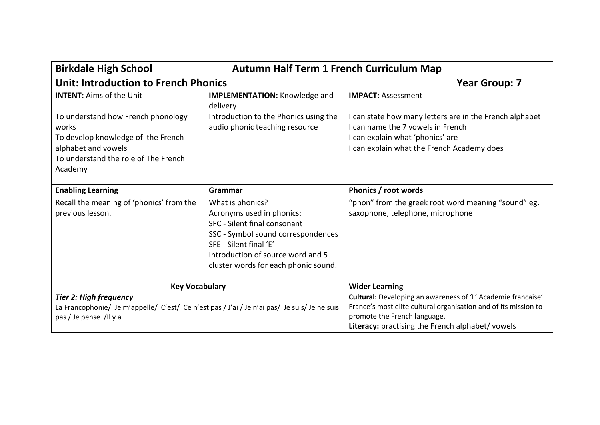| <b>Autumn Half Term 1 French Curriculum Map</b><br><b>Birkdale High School</b>                                                                              |                                                                                                                                                                                                                            |                                                                                                                                                                                                                     |
|-------------------------------------------------------------------------------------------------------------------------------------------------------------|----------------------------------------------------------------------------------------------------------------------------------------------------------------------------------------------------------------------------|---------------------------------------------------------------------------------------------------------------------------------------------------------------------------------------------------------------------|
| <b>Unit: Introduction to French Phonics</b>                                                                                                                 |                                                                                                                                                                                                                            | <b>Year Group: 7</b>                                                                                                                                                                                                |
| <b>INTENT: Aims of the Unit</b>                                                                                                                             | <b>IMPLEMENTATION:</b> Knowledge and<br>delivery                                                                                                                                                                           | <b>IMPACT: Assessment</b>                                                                                                                                                                                           |
| To understand how French phonology<br>works<br>To develop knowledge of the French<br>alphabet and vowels<br>To understand the role of The French<br>Academy | Introduction to the Phonics using the<br>audio phonic teaching resource                                                                                                                                                    | I can state how many letters are in the French alphabet<br>I can name the 7 yowels in French<br>I can explain what 'phonics' are<br>I can explain what the French Academy does                                      |
| <b>Enabling Learning</b>                                                                                                                                    | Grammar                                                                                                                                                                                                                    | Phonics / root words                                                                                                                                                                                                |
| Recall the meaning of 'phonics' from the<br>previous lesson.                                                                                                | What is phonics?<br>Acronyms used in phonics:<br>SFC - Silent final consonant<br>SSC - Symbol sound correspondences<br>SFE - Silent final 'E'<br>Introduction of source word and 5<br>cluster words for each phonic sound. | "phon" from the greek root word meaning "sound" eg.<br>saxophone, telephone, microphone                                                                                                                             |
| <b>Key Vocabulary</b>                                                                                                                                       |                                                                                                                                                                                                                            | <b>Wider Learning</b>                                                                                                                                                                                               |
| <b>Tier 2: High frequency</b><br>La Francophonie/ Je m'appelle/ C'est/ Ce n'est pas / J'ai / Je n'ai pas/ Je suis/ Je ne suis<br>pas / Je pense /Il y a     |                                                                                                                                                                                                                            | Cultural: Developing an awareness of 'L' Academie francaise'<br>France's most elite cultural organisation and of its mission to<br>promote the French language.<br>Literacy: practising the French alphabet/ vowels |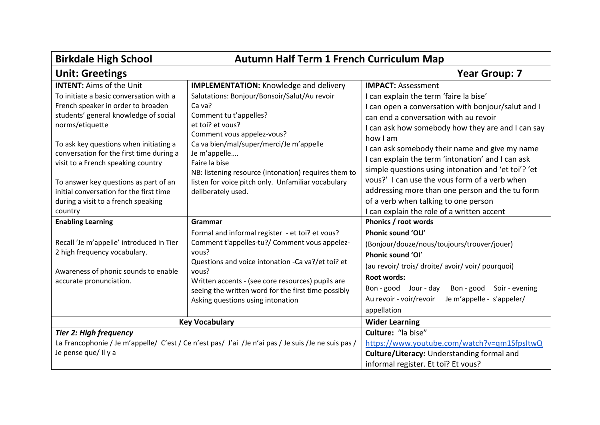| <b>Birkdale High School</b><br><b>Autumn Half Term 1 French Curriculum Map</b>                                                                                                                                                                                                                                                                                                                              |                                                                                                                                                                                                                                                                                                                                                    |                                                                                                                                                                                                                                                                                                                                                                                                                                                                                                                                                                |
|-------------------------------------------------------------------------------------------------------------------------------------------------------------------------------------------------------------------------------------------------------------------------------------------------------------------------------------------------------------------------------------------------------------|----------------------------------------------------------------------------------------------------------------------------------------------------------------------------------------------------------------------------------------------------------------------------------------------------------------------------------------------------|----------------------------------------------------------------------------------------------------------------------------------------------------------------------------------------------------------------------------------------------------------------------------------------------------------------------------------------------------------------------------------------------------------------------------------------------------------------------------------------------------------------------------------------------------------------|
| <b>Unit: Greetings</b>                                                                                                                                                                                                                                                                                                                                                                                      |                                                                                                                                                                                                                                                                                                                                                    | <b>Year Group: 7</b>                                                                                                                                                                                                                                                                                                                                                                                                                                                                                                                                           |
| <b>INTENT: Aims of the Unit</b>                                                                                                                                                                                                                                                                                                                                                                             | <b>IMPLEMENTATION:</b> Knowledge and delivery                                                                                                                                                                                                                                                                                                      | <b>IMPACT: Assessment</b>                                                                                                                                                                                                                                                                                                                                                                                                                                                                                                                                      |
| To initiate a basic conversation with a<br>French speaker in order to broaden<br>students' general knowledge of social<br>norms/etiquette<br>To ask key questions when initiating a<br>conversation for the first time during a<br>visit to a French speaking country<br>To answer key questions as part of an<br>initial conversation for the first time<br>during a visit to a french speaking<br>country | Salutations: Bonjour/Bonsoir/Salut/Au revoir<br>Ca va?<br>Comment tu t'appelles?<br>et toi? et vous?<br>Comment vous appelez-vous?<br>Ca va bien/mal/super/merci/Je m'appelle<br>Je m'appelle<br>Faire la bise<br>NB: listening resource (intonation) requires them to<br>listen for voice pitch only. Unfamiliar vocabulary<br>deliberately used. | I can explain the term 'faire la bise'<br>I can open a conversation with bonjour/salut and I<br>can end a conversation with au revoir<br>I can ask how somebody how they are and I can say<br>how I am<br>I can ask somebody their name and give my name<br>I can explain the term 'intonation' and I can ask<br>simple questions using intonation and 'et toi'? 'et<br>yous?' I can use the yous form of a verb when<br>addressing more than one person and the tu form<br>of a verb when talking to one person<br>I can explain the role of a written accent |
| <b>Enabling Learning</b>                                                                                                                                                                                                                                                                                                                                                                                    | Grammar                                                                                                                                                                                                                                                                                                                                            | Phonics / root words                                                                                                                                                                                                                                                                                                                                                                                                                                                                                                                                           |
| Recall 'Je m'appelle' introduced in Tier<br>2 high frequency vocabulary.<br>Awareness of phonic sounds to enable<br>accurate pronunciation.                                                                                                                                                                                                                                                                 | Formal and informal register - et toi? et vous?<br>Comment t'appelles-tu?/ Comment vous appelez-<br>vous?<br>Questions and voice intonation -Ca va?/et toi? et<br>vous?<br>Written accents - (see core resources) pupils are<br>seeing the written word for the first time possibly<br>Asking questions using intonation                           | Phonic sound 'OU'<br>(Bonjour/douze/nous/toujours/trouver/jouer)<br>Phonic sound 'OI'<br>(au revoir/ trois/ droite/ avoir/ voir/ pourquoi)<br><b>Root words:</b><br>Bon-good Jour-day<br>Bon - good Soir - evening<br>Je m'appelle - s'appeler/<br>Au revoir - voir/revoir<br>appellation                                                                                                                                                                                                                                                                      |
|                                                                                                                                                                                                                                                                                                                                                                                                             | <b>Key Vocabulary</b>                                                                                                                                                                                                                                                                                                                              | <b>Wider Learning</b>                                                                                                                                                                                                                                                                                                                                                                                                                                                                                                                                          |
| <b>Tier 2: High frequency</b><br>Je pense que/ Il y a                                                                                                                                                                                                                                                                                                                                                       | La Francophonie / Je m'appelle/ C'est / Ce n'est pas/ J'ai /Je n'ai pas / Je suis /Je ne suis pas /                                                                                                                                                                                                                                                | Culture: "la bise"<br>https://www.youtube.com/watch?v=qm1SfpsItwQ<br>Culture/Literacy: Understanding formal and<br>informal register. Et toi? Et vous?                                                                                                                                                                                                                                                                                                                                                                                                         |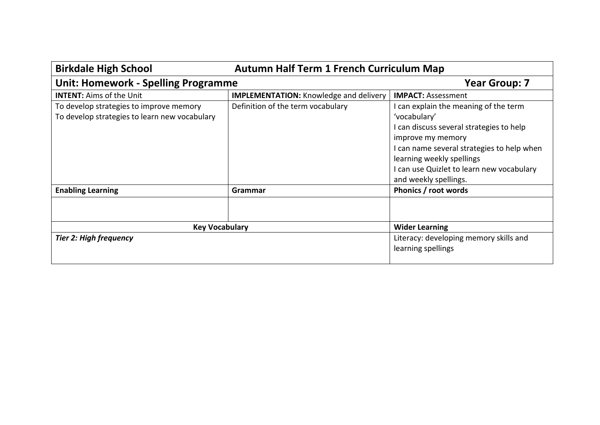| <b>Birkdale High School</b><br><b>Autumn Half Term 1 French Curriculum Map</b>           |                                               |                                                                                                                                                                                                                                                                         |
|------------------------------------------------------------------------------------------|-----------------------------------------------|-------------------------------------------------------------------------------------------------------------------------------------------------------------------------------------------------------------------------------------------------------------------------|
| <b>Unit: Homework - Spelling Programme</b>                                               |                                               | <b>Year Group: 7</b>                                                                                                                                                                                                                                                    |
| <b>INTENT: Aims of the Unit</b>                                                          | <b>IMPLEMENTATION:</b> Knowledge and delivery | <b>IMPACT: Assessment</b>                                                                                                                                                                                                                                               |
| To develop strategies to improve memory<br>To develop strategies to learn new vocabulary | Definition of the term vocabulary             | I can explain the meaning of the term<br>'vocabulary'<br>I can discuss several strategies to help<br>improve my memory<br>I can name several strategies to help when<br>learning weekly spellings<br>I can use Quizlet to learn new vocabulary<br>and weekly spellings. |
| <b>Enabling Learning</b>                                                                 | Grammar                                       | Phonics / root words                                                                                                                                                                                                                                                    |
|                                                                                          |                                               |                                                                                                                                                                                                                                                                         |
| <b>Key Vocabulary</b>                                                                    |                                               | <b>Wider Learning</b>                                                                                                                                                                                                                                                   |
| <b>Tier 2: High frequency</b>                                                            |                                               | Literacy: developing memory skills and<br>learning spellings                                                                                                                                                                                                            |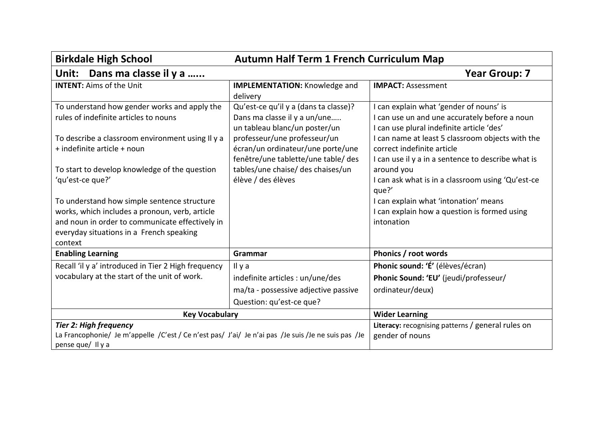| <b>Autumn Half Term 1 French Curriculum Map</b><br><b>Birkdale High School</b>                                                                                                                                                                                                                                                                                                                                                                           |                                                                                                                                                                                                                                                                               |                                                                                                                                                                                                                                                                                                                                                                                                                                                                  |
|----------------------------------------------------------------------------------------------------------------------------------------------------------------------------------------------------------------------------------------------------------------------------------------------------------------------------------------------------------------------------------------------------------------------------------------------------------|-------------------------------------------------------------------------------------------------------------------------------------------------------------------------------------------------------------------------------------------------------------------------------|------------------------------------------------------------------------------------------------------------------------------------------------------------------------------------------------------------------------------------------------------------------------------------------------------------------------------------------------------------------------------------------------------------------------------------------------------------------|
| Dans ma classe il y a<br>Unit:                                                                                                                                                                                                                                                                                                                                                                                                                           |                                                                                                                                                                                                                                                                               | <b>Year Group: 7</b>                                                                                                                                                                                                                                                                                                                                                                                                                                             |
| <b>INTENT: Aims of the Unit</b>                                                                                                                                                                                                                                                                                                                                                                                                                          | <b>IMPLEMENTATION: Knowledge and</b><br>delivery                                                                                                                                                                                                                              | <b>IMPACT: Assessment</b>                                                                                                                                                                                                                                                                                                                                                                                                                                        |
| To understand how gender works and apply the<br>rules of indefinite articles to nouns<br>To describe a classroom environment using II y a<br>+ indefinite article + noun<br>To start to develop knowledge of the question<br>'qu'est-ce que?'<br>To understand how simple sentence structure<br>works, which includes a pronoun, verb, article<br>and noun in order to communicate effectively in<br>everyday situations in a French speaking<br>context | Qu'est-ce qu'il y a (dans ta classe)?<br>Dans ma classe il y a un/une<br>un tableau blanc/un poster/un<br>professeur/une professeur/un<br>écran/un ordinateur/une porte/une<br>fenêtre/une tablette/une table/ des<br>tables/une chaise/ des chaises/un<br>élève / des élèves | I can explain what 'gender of nouns' is<br>I can use un and une accurately before a noun<br>I can use plural indefinite article 'des'<br>I can name at least 5 classroom objects with the<br>correct indefinite article<br>I can use il y a in a sentence to describe what is<br>around you<br>I can ask what is in a classroom using 'Qu'est-ce<br>que?'<br>I can explain what 'intonation' means<br>I can explain how a question is formed using<br>intonation |
| <b>Enabling Learning</b>                                                                                                                                                                                                                                                                                                                                                                                                                                 | Grammar                                                                                                                                                                                                                                                                       | Phonics / root words                                                                                                                                                                                                                                                                                                                                                                                                                                             |
| Recall 'il y a' introduced in Tier 2 High frequency<br>vocabulary at the start of the unit of work.                                                                                                                                                                                                                                                                                                                                                      | Il y a<br>indefinite articles : un/une/des<br>ma/ta - possessive adjective passive<br>Question: qu'est-ce que?                                                                                                                                                                | Phonic sound: 'É' (élèves/écran)<br>Phonic Sound: 'EU' (jeudi/professeur/<br>ordinateur/deux)                                                                                                                                                                                                                                                                                                                                                                    |
| <b>Key Vocabulary</b>                                                                                                                                                                                                                                                                                                                                                                                                                                    |                                                                                                                                                                                                                                                                               | <b>Wider Learning</b>                                                                                                                                                                                                                                                                                                                                                                                                                                            |
| <b>Tier 2: High frequency</b><br>La Francophonie/ Je m'appelle /C'est / Ce n'est pas/ J'ai/ Je n'ai pas /Je suis /Je ne suis pas /Je<br>pense que/ Il y a                                                                                                                                                                                                                                                                                                |                                                                                                                                                                                                                                                                               | <b>Literacy:</b> recognising patterns / general rules on<br>gender of nouns                                                                                                                                                                                                                                                                                                                                                                                      |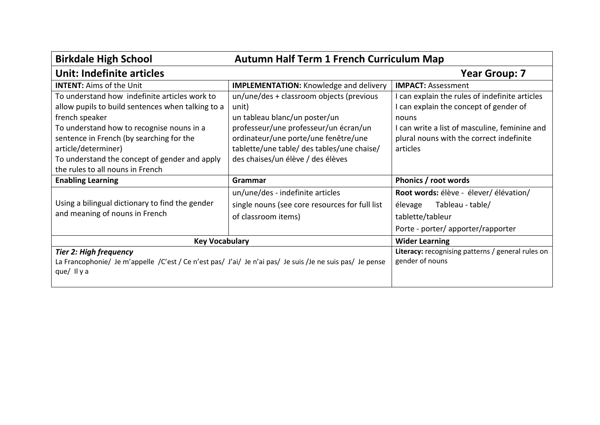| <b>Birkdale High School</b><br><b>Autumn Half Term 1 French Curriculum Map</b>                            |                                                |                                                          |
|-----------------------------------------------------------------------------------------------------------|------------------------------------------------|----------------------------------------------------------|
| <b>Unit: Indefinite articles</b>                                                                          |                                                | <b>Year Group: 7</b>                                     |
| <b>INTENT: Aims of the Unit</b>                                                                           | <b>IMPLEMENTATION:</b> Knowledge and delivery  | <b>IMPACT: Assessment</b>                                |
| To understand how indefinite articles work to                                                             | un/une/des + classroom objects (previous       | I can explain the rules of indefinite articles           |
| allow pupils to build sentences when talking to a                                                         | unit)                                          | I can explain the concept of gender of                   |
| french speaker                                                                                            | un tableau blanc/un poster/un                  | nouns                                                    |
| To understand how to recognise nouns in a                                                                 | professeur/une professeur/un écran/un          | I can write a list of masculine, feminine and            |
| sentence in French (by searching for the                                                                  | ordinateur/une porte/une fenêtre/une           | plural nouns with the correct indefinite                 |
| article/determiner)                                                                                       | tablette/une table/ des tables/une chaise/     | articles                                                 |
| To understand the concept of gender and apply                                                             | des chaises/un élève / des élèves              |                                                          |
| the rules to all nouns in French                                                                          |                                                |                                                          |
| <b>Enabling Learning</b>                                                                                  | Grammar                                        | Phonics / root words                                     |
|                                                                                                           | un/une/des - indefinite articles               | Root words: élève - élever/ élévation/                   |
| Using a bilingual dictionary to find the gender                                                           | single nouns (see core resources for full list | Tableau - table/<br>élevage                              |
| and meaning of nouns in French                                                                            | of classroom items)                            | tablette/tableur                                         |
|                                                                                                           |                                                | Porte - porter/apporter/rapporter                        |
| <b>Key Vocabulary</b>                                                                                     |                                                | <b>Wider Learning</b>                                    |
| <b>Tier 2: High frequency</b>                                                                             |                                                | <b>Literacy:</b> recognising patterns / general rules on |
| La Francophonie/ Je m'appelle /C'est / Ce n'est pas/ J'ai/ Je n'ai pas/ Je suis /Je ne suis pas/ Je pense |                                                | gender of nouns                                          |
| que/ $\parallel$ y a                                                                                      |                                                |                                                          |
|                                                                                                           |                                                |                                                          |